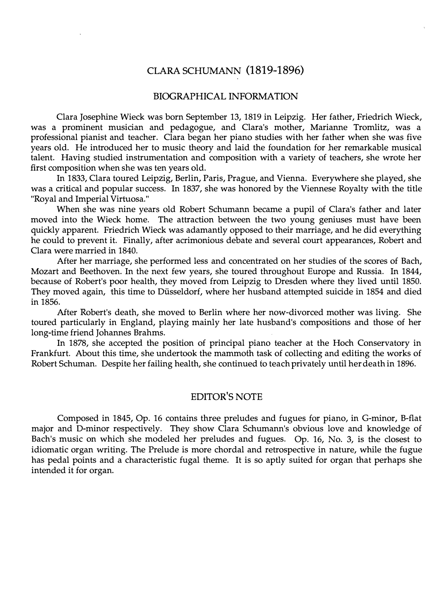## CLARA SCHUMANN (1819-1896)

## BIOGRAPHICAL INFORMATION

Clara Josephine Wieck was born September 13, 1819 in Leipzig. Her father, Friedrich Wieck, was a prominent musician and pedagogue, and Clara's mother, Marianne Tromlitz, was a professional pianist and teacher. Clara began her piano studies with her father when she was five years old. He introduced her to music theory and laid the foundation for her remarkable musical talent. Having studied instrumentation and composition with a variety of teachers, she wrote her first composition when she was ten years old.

In 1833, Clara toured Leipzig, Berlin, Paris, Prague, and Vienna. Everywhere she played, she was a critical and popular success. In 1837, she was honored by the Viennese Royalty with the title "Royal and Imperial Virtuosa."

When she was nine years old Robert Schumann became a pupil of Clara's father and later moved into the Wieck home. The attraction between the two young geniuses must have been quickly apparent. Friedrich Wieck was adamantly opposed to their marriage, and he did everything he could to prevent it. Finally, after acrimonious debate and several court appearances, Robert and Clara were married in 1840.

After her marriage, she performed less and concentrated on her studies of the scores of Bach, Mozart and Beethoven. In the next few years, she toured throughout Europe and Russia. In 1844, because of Robert's poor health, they moved from Leipzig to Dresden where they lived until 1850. They moved again, this time to Diisseldorf, where her husband attempted suicide in 1854 and died in 1856.

After Robert's death, she moved to Berlin where her now-divorced mother was living. She toured particularly in England, playing mainly her late husband's compositions and those of her long-time friend Johannes Brahms.

In 1878, she accepted the position of principal piano teacher at the Hoch Conservatory in Frankfurt. About this time, she undertook the mammoth task of collecting and editing the works of Robert Schuman. Despite her failing health, she continued to teach privately until herdeath in 1896.

## EDITOR'S NOTE

Composed in 1845, Op. 16 contains three preludes and fugues for piano, in G-minor, B-flat major and D-minor respectively. They show Clara Schumann's obvious love and knowledge of Bach's music on which she modeled her preludes and fugues. Op. 16, No. 3, is the closest to idiomatic organ writing. The Prelude is more chordal and retrospective in nature, while the fugue has pedal points and a characteristic fugal theme. It is so aptly suited for organ that perhaps she intended it for organ.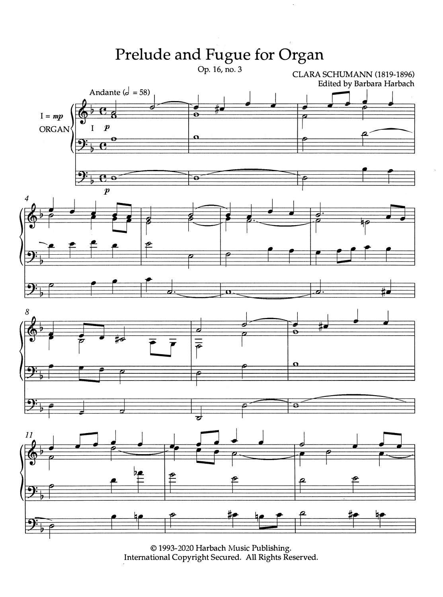

© 1993-2020 Harbach Music Publishing.<br>International Copyright Secured. All Rights Reserved.